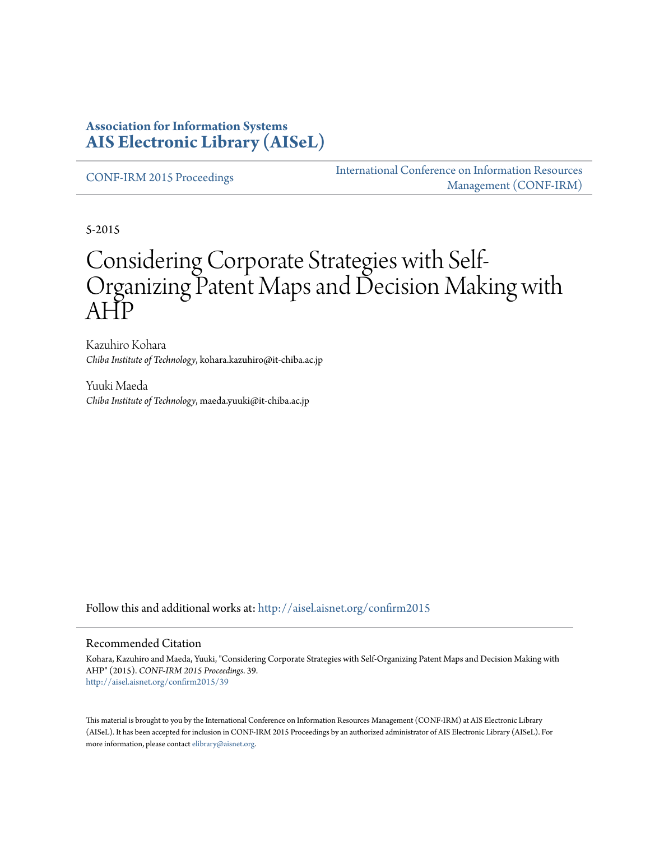#### **Association for Information Systems [AIS Electronic Library \(AISeL\)](http://aisel.aisnet.org?utm_source=aisel.aisnet.org%2Fconfirm2015%2F39&utm_medium=PDF&utm_campaign=PDFCoverPages)**

[CONF-IRM 2015 Proceedings](http://aisel.aisnet.org/confirm2015?utm_source=aisel.aisnet.org%2Fconfirm2015%2F39&utm_medium=PDF&utm_campaign=PDFCoverPages)

[International Conference on Information Resources](http://aisel.aisnet.org/conf-irm?utm_source=aisel.aisnet.org%2Fconfirm2015%2F39&utm_medium=PDF&utm_campaign=PDFCoverPages) [Management \(CONF-IRM\)](http://aisel.aisnet.org/conf-irm?utm_source=aisel.aisnet.org%2Fconfirm2015%2F39&utm_medium=PDF&utm_campaign=PDFCoverPages)

5-2015

# Considering Corporate Strategies with Self-Organizing Patent Maps and Decision Making with AHP

Kazuhiro Kohara *Chiba Institute of Technology*, kohara.kazuhiro@it-chiba.ac.jp

Yuuki Maeda *Chiba Institute of Technology*, maeda.yuuki@it-chiba.ac.jp

Follow this and additional works at: [http://aisel.aisnet.org/confirm2015](http://aisel.aisnet.org/confirm2015?utm_source=aisel.aisnet.org%2Fconfirm2015%2F39&utm_medium=PDF&utm_campaign=PDFCoverPages)

#### Recommended Citation

Kohara, Kazuhiro and Maeda, Yuuki, "Considering Corporate Strategies with Self-Organizing Patent Maps and Decision Making with AHP" (2015). *CONF-IRM 2015 Proceedings*. 39. [http://aisel.aisnet.org/confirm2015/39](http://aisel.aisnet.org/confirm2015/39?utm_source=aisel.aisnet.org%2Fconfirm2015%2F39&utm_medium=PDF&utm_campaign=PDFCoverPages)

This material is brought to you by the International Conference on Information Resources Management (CONF-IRM) at AIS Electronic Library (AISeL). It has been accepted for inclusion in CONF-IRM 2015 Proceedings by an authorized administrator of AIS Electronic Library (AISeL). For more information, please contact [elibrary@aisnet.org.](mailto:elibrary@aisnet.org%3E)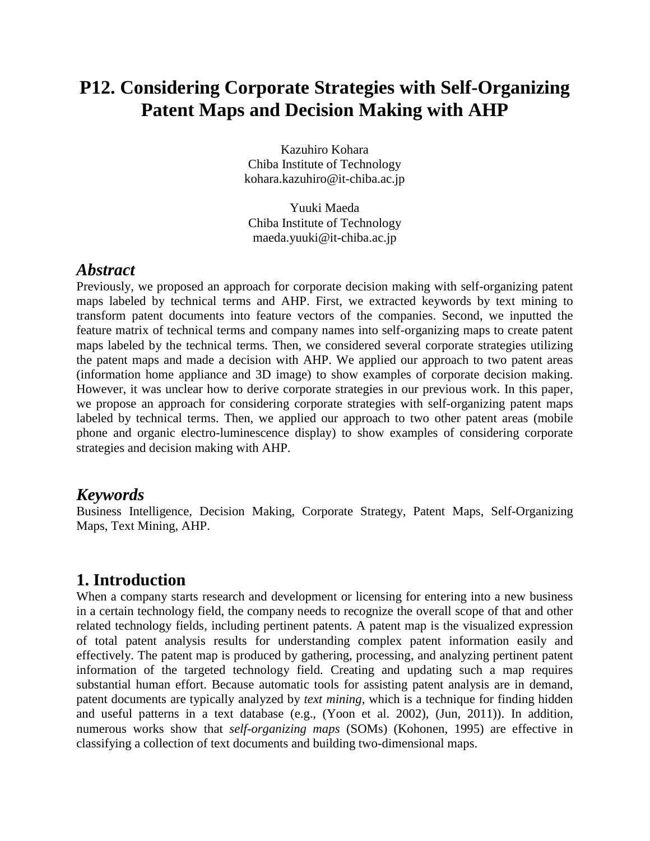## **P12. Considering Corporate Strategies with Self-Organizing Patent Maps and Decision Making with AHP**

Kazuhiro Kohara Chiba Institute of Technology kohara.kazuhiro@it-chiba.ac.jp

Yuuki Maeda Chiba Institute of Technology maeda.yuuki@it-chiba.ac.jp

#### *Abstract*

Previously, we proposed an approach for corporate decision making with self-organizing patent maps labeled by technical terms and AHP. First, we extracted keywords by text mining to transform patent documents into feature vectors of the companies. Second, we inputted the feature matrix of technical terms and company names into self-organizing maps to create patent maps labeled by the technical terms. Then, we considered several corporate strategies utilizing the patent maps and made a decision with AHP. We applied our approach to two patent areas (information home appliance and 3D image) to show examples of corporate decision making. However, it was unclear how to derive corporate strategies in our previous work. In this paper, we propose an approach for considering corporate strategies with self-organizing patent maps labeled by technical terms. Then, we applied our approach to two other patent areas (mobile phone and organic electro-luminescence display) to show examples of considering corporate strategies and decision making with AHP.

#### *Keywords*

Business Intelligence, Decision Making, Corporate Strategy, Patent Maps, Self-Organizing Maps, Text Mining, AHP.

#### **1. Introduction**

When a company starts research and development or licensing for entering into a new business in a certain technology field, the company needs to recognize the overall scope of that and other related technology fields, including pertinent patents. A patent map is the visualized expression of total patent analysis results for understanding complex patent information easily and effectively. The patent map is produced by gathering, processing, and analyzing pertinent patent information of the targeted technology field. Creating and updating such a map requires substantial human effort. Because automatic tools for assisting patent analysis are in demand, patent documents are typically analyzed by *text mining*, which is a technique for finding hidden and useful patterns in a text database (e.g., (Yoon et al. 2002), (Jun, 2011)). In addition, numerous works show that *self-organizing maps* (SOMs) (Kohonen, 1995) are effective in classifying a collection of text documents and building two-dimensional maps.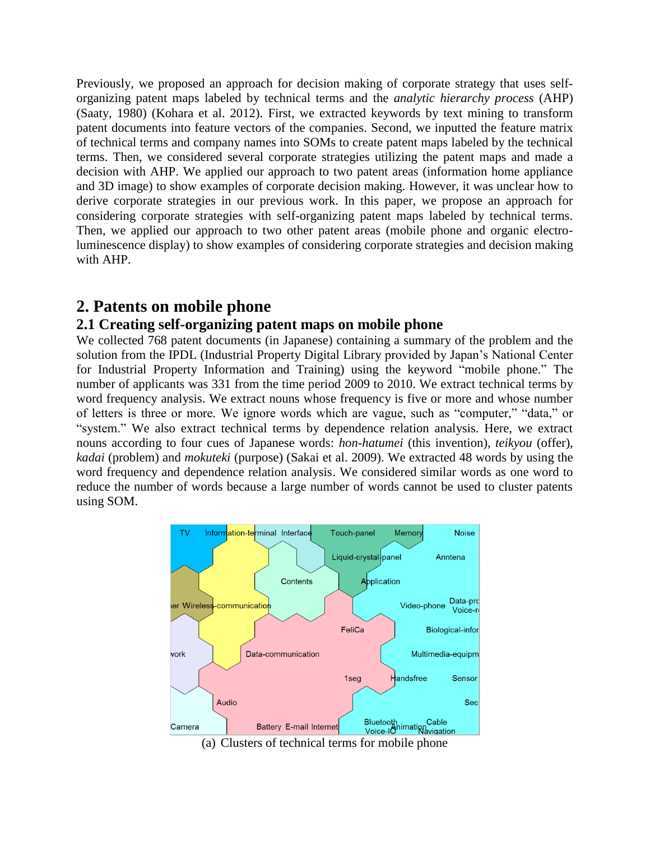Previously, we proposed an approach for decision making of corporate strategy that uses selforganizing patent maps labeled by technical terms and the *analytic hierarchy process* (AHP) (Saaty, 1980) (Kohara et al. 2012). First, we extracted keywords by text mining to transform patent documents into feature vectors of the companies. Second, we inputted the feature matrix of technical terms and company names into SOMs to create patent maps labeled by the technical terms. Then, we considered several corporate strategies utilizing the patent maps and made a decision with AHP. We applied our approach to two patent areas (information home appliance and 3D image) to show examples of corporate decision making. However, it was unclear how to derive corporate strategies in our previous work. In this paper, we propose an approach for considering corporate strategies with self-organizing patent maps labeled by technical terms. Then, we applied our approach to two other patent areas (mobile phone and organic electroluminescence display) to show examples of considering corporate strategies and decision making with AHP.

#### **2. Patents on mobile phone**

#### **2.1 Creating self-organizing patent maps on mobile phone**

We collected 768 patent documents (in Japanese) containing a summary of the problem and the solution from the IPDL (Industrial Property Digital Library provided by Japan's National Center for Industrial Property Information and Training) using the keyword "mobile phone." The number of applicants was 331 from the time period 2009 to 2010. We extract technical terms by word frequency analysis. We extract nouns whose frequency is five or more and whose number of letters is three or more. We ignore words which are vague, such as "computer," "data," or "system." We also extract technical terms by dependence relation analysis. Here, we extract nouns according to four cues of Japanese words: *hon-hatumei* (this invention), *teikyou* (offer), *kadai* (problem) and *mokuteki* (purpose) (Sakai et al. 2009). We extracted 48 words by using the word frequency and dependence relation analysis. We considered similar words as one word to reduce the number of words because a large number of words cannot be used to cluster patents using SOM.



(a) Clusters of technical terms for mobile phone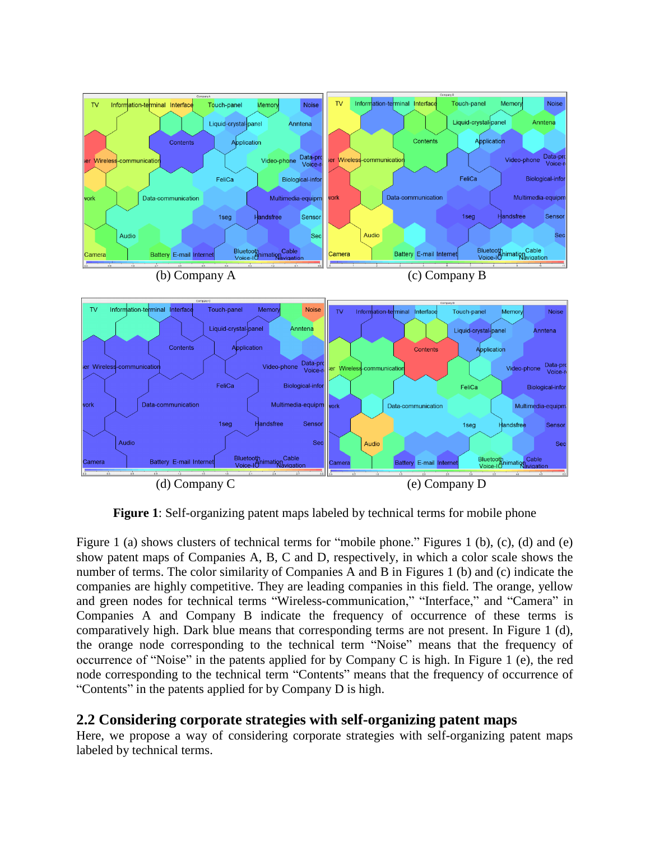

**Figure 1**: Self-organizing patent maps labeled by technical terms for mobile phone

Figure 1 (a) shows clusters of technical terms for "mobile phone." Figures 1 (b), (c), (d) and (e) show patent maps of Companies A, B, C and D, respectively, in which a color scale shows the number of terms. The color similarity of Companies A and B in Figures 1 (b) and (c) indicate the companies are highly competitive. They are leading companies in this field. The orange, yellow and green nodes for technical terms "Wireless-communication," "Interface," and "Camera" in Companies A and Company B indicate the frequency of occurrence of these terms is comparatively high. Dark blue means that corresponding terms are not present. In Figure 1 (d), the orange node corresponding to the technical term "Noise" means that the frequency of occurrence of "Noise" in the patents applied for by Company C is high. In Figure 1 (e), the red node corresponding to the technical term "Contents" means that the frequency of occurrence of "Contents" in the patents applied for by Company D is high.

#### **2.2 Considering corporate strategies with self-organizing patent maps**

Here, we propose a way of considering corporate strategies with self-organizing patent maps labeled by technical terms.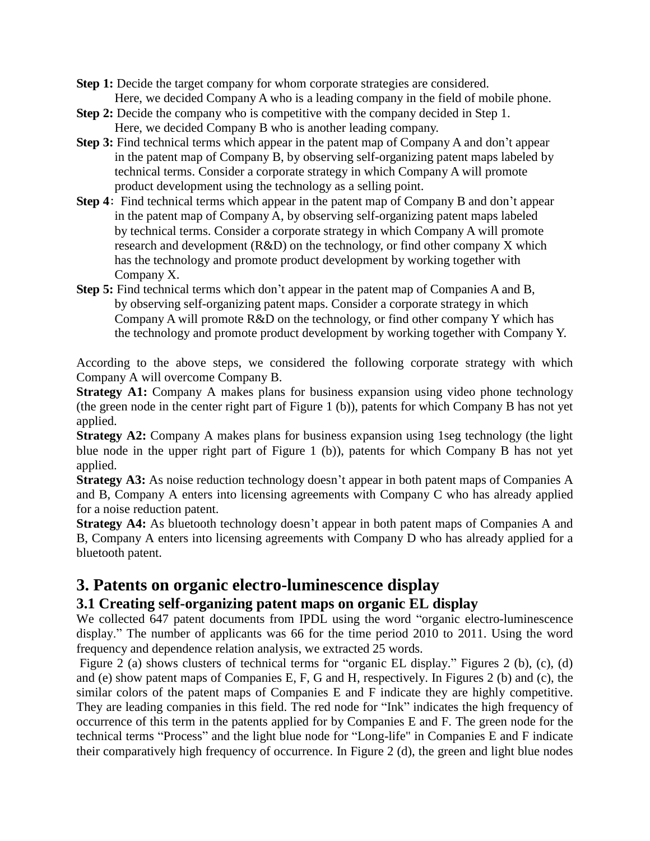- **Step 1:** Decide the target company for whom corporate strategies are considered. Here, we decided Company A who is a leading company in the field of mobile phone.
- **Step 2:** Decide the company who is competitive with the company decided in Step 1. Here, we decided Company B who is another leading company.
- **Step 3:** Find technical terms which appear in the patent map of Company A and don't appear in the patent map of Company B, by observing self-organizing patent maps labeled by technical terms. Consider a corporate strategy in which Company A will promote product development using the technology as a selling point.
- **Step 4**: Find technical terms which appear in the patent map of Company B and don't appear in the patent map of Company A, by observing self-organizing patent maps labeled by technical terms. Consider a corporate strategy in which Company A will promote research and development (R&D) on the technology, or find other company X which has the technology and promote product development by working together with Company X.
- **Step 5:** Find technical terms which don't appear in the patent map of Companies A and B, by observing self-organizing patent maps. Consider a corporate strategy in which Company A will promote R&D on the technology, or find other company Y which has the technology and promote product development by working together with Company Y.

According to the above steps, we considered the following corporate strategy with which Company A will overcome Company B.

**Strategy A1:** Company A makes plans for business expansion using video phone technology (the green node in the center right part of Figure 1 (b)), patents for which Company B has not yet applied.

**Strategy A2:** Company A makes plans for business expansion using 1seg technology (the light blue node in the upper right part of Figure 1 (b)), patents for which Company B has not yet applied.

**Strategy A3:** As noise reduction technology doesn't appear in both patent maps of Companies A and B, Company A enters into licensing agreements with Company C who has already applied for a noise reduction patent.

**Strategy A4:** As bluetooth technology doesn't appear in both patent maps of Companies A and B, Company A enters into licensing agreements with Company D who has already applied for a bluetooth patent.

### **3. Patents on organic electro-luminescence display**

#### **3.1 Creating self-organizing patent maps on organic EL display**

We collected 647 patent documents from IPDL using the word "organic electro-luminescence display." The number of applicants was 66 for the time period 2010 to 2011. Using the word frequency and dependence relation analysis, we extracted 25 words.

Figure 2 (a) shows clusters of technical terms for "organic EL display." Figures 2 (b), (c), (d) and (e) show patent maps of Companies E, F, G and H, respectively. In Figures 2 (b) and (c), the similar colors of the patent maps of Companies E and F indicate they are highly competitive. They are leading companies in this field. The red node for "Ink" indicates the high frequency of occurrence of this term in the patents applied for by Companies E and F. The green node for the technical terms "Process" and the light blue node for "Long-life" in Companies E and F indicate their comparatively high frequency of occurrence. In Figure 2 (d), the green and light blue nodes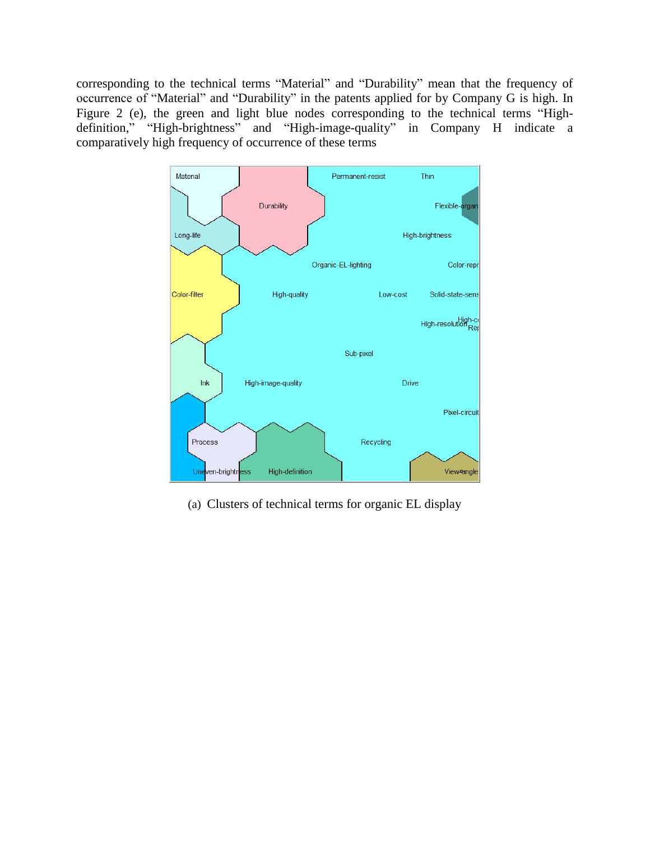corresponding to the technical terms "Material" and "Durability" mean that the frequency of occurrence of "Material" and "Durability" in the patents applied for by Company G is high. In Figure 2 (e), the green and light blue nodes corresponding to the technical terms "Highdefinition," "High-brightness" and "High-image-quality" in Company H indicate a comparatively high frequency of occurrence of these terms



(a) Clusters of technical terms for organic EL display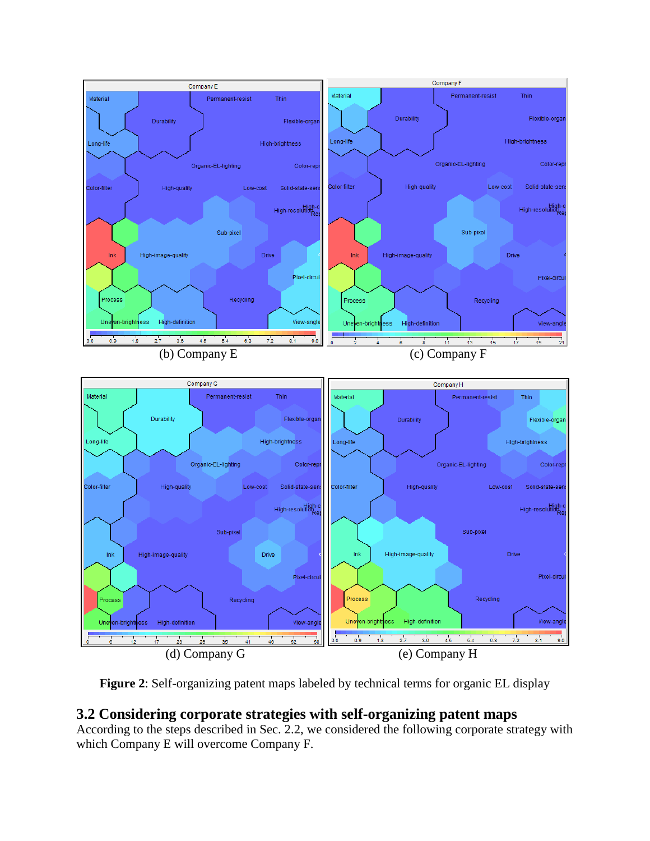

**Figure 2**: Self-organizing patent maps labeled by technical terms for organic EL display

#### **3.2 Considering corporate strategies with self-organizing patent maps**

According to the steps described in Sec. 2.2, we considered the following corporate strategy with which Company E will overcome Company F.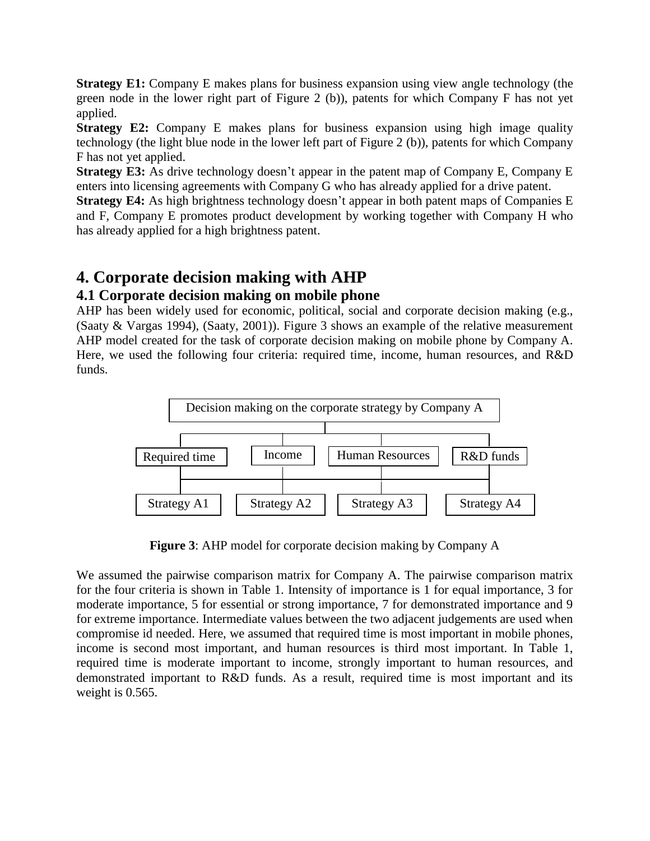**Strategy E1:** Company E makes plans for business expansion using view angle technology (the green node in the lower right part of Figure 2 (b)), patents for which Company F has not yet applied.

**Strategy E2:** Company E makes plans for business expansion using high image quality technology (the light blue node in the lower left part of Figure 2 (b)), patents for which Company F has not yet applied.

**Strategy E3:** As drive technology doesn't appear in the patent map of Company E, Company E enters into licensing agreements with Company G who has already applied for a drive patent.

**Strategy E4:** As high brightness technology doesn't appear in both patent maps of Companies E and F, Company E promotes product development by working together with Company H who has already applied for a high brightness patent.

## **4. Corporate decision making with AHP**

#### **4.1 Corporate decision making on mobile phone**

AHP has been widely used for economic, political, social and corporate decision making (e.g., (Saaty & Vargas 1994), (Saaty, 2001)). Figure 3 shows an example of the relative measurement AHP model created for the task of corporate decision making on mobile phone by Company A. Here, we used the following four criteria: required time, income, human resources, and R&D funds.



**Figure 3**: AHP model for corporate decision making by Company A

We assumed the pairwise comparison matrix for Company A. The pairwise comparison matrix for the four criteria is shown in Table 1. Intensity of importance is 1 for equal importance, 3 for moderate importance, 5 for essential or strong importance, 7 for demonstrated importance and 9 for extreme importance. Intermediate values between the two adjacent judgements are used when compromise id needed. Here, we assumed that required time is most important in mobile phones, income is second most important, and human resources is third most important. In Table 1, required time is moderate important to income, strongly important to human resources, and demonstrated important to R&D funds. As a result, required time is most important and its weight is 0.565.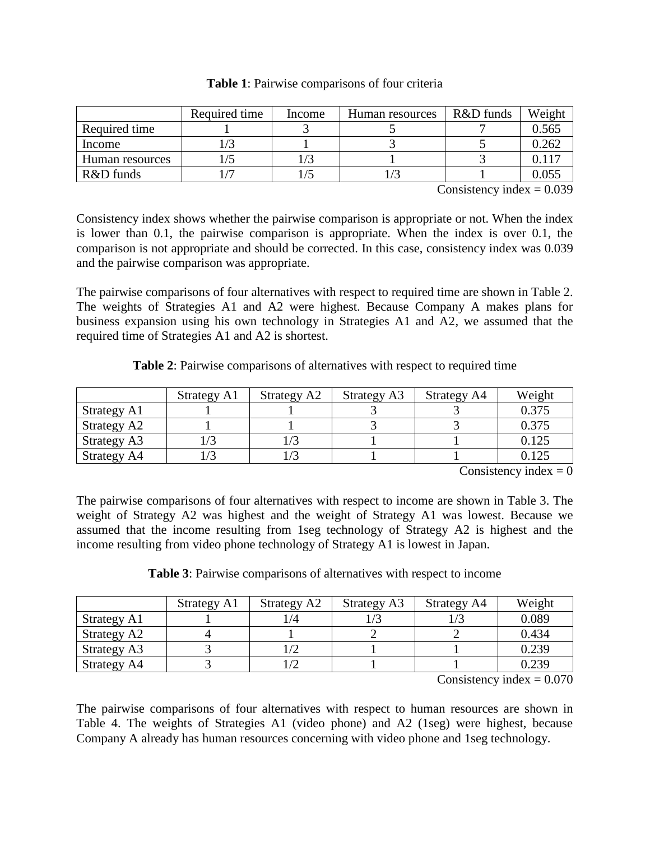|                 | Required time | Income | Human resources | R&D funds | Weight |
|-----------------|---------------|--------|-----------------|-----------|--------|
| Required time   |               |        |                 |           | 0.565  |
| Income          |               |        |                 |           | 0.262  |
| Human resources |               |        |                 |           | በ 117  |
| R&D funds       |               |        |                 |           | 0.055  |

**Table 1**: Pairwise comparisons of four criteria

Consistency index  $= 0.039$ 

Consistency index shows whether the pairwise comparison is appropriate or not. When the index is lower than 0.1, the pairwise comparison is appropriate. When the index is over 0.1, the comparison is not appropriate and should be corrected. In this case, consistency index was 0.039 and the pairwise comparison was appropriate.

The pairwise comparisons of four alternatives with respect to required time are shown in Table 2. The weights of Strategies A1 and A2 were highest. Because Company A makes plans for business expansion using his own technology in Strategies A1 and A2, we assumed that the required time of Strategies A1 and A2 is shortest.

**Table 2**: Pairwise comparisons of alternatives with respect to required time

|             | Strategy A1 | Strategy A2 | Strategy A3 | <b>Strategy A4</b> | Weight |
|-------------|-------------|-------------|-------------|--------------------|--------|
| Strategy A1 |             |             |             |                    | 0.375  |
| Strategy A2 |             |             |             |                    | 0.375  |
| Strategy A3 |             |             |             |                    | 0.125  |
| Strategy A4 |             |             |             |                    | 0.125  |

Consistency index  $= 0$ 

The pairwise comparisons of four alternatives with respect to income are shown in Table 3. The weight of Strategy A2 was highest and the weight of Strategy A1 was lowest. Because we assumed that the income resulting from 1seg technology of Strategy A2 is highest and the income resulting from video phone technology of Strategy A1 is lowest in Japan.

|  |  | <b>Table 3:</b> Pairwise comparisons of alternatives with respect to income |
|--|--|-----------------------------------------------------------------------------|
|--|--|-----------------------------------------------------------------------------|

|                    | Strategy A1 | Strategy A2   | Strategy A3 | <b>Strategy A4</b> | Weight |
|--------------------|-------------|---------------|-------------|--------------------|--------|
| Strategy A1        |             | $\frac{1}{4}$ |             |                    | 0.089  |
| Strategy A2        |             |               |             |                    | 0.434  |
| <b>Strategy A3</b> |             |               |             |                    | 0.239  |
| Strategy A4        |             |               |             |                    | 0.239  |

Consistency index  $= 0.070$ 

The pairwise comparisons of four alternatives with respect to human resources are shown in Table 4. The weights of Strategies A1 (video phone) and A2 (1seg) were highest, because Company A already has human resources concerning with video phone and 1seg technology.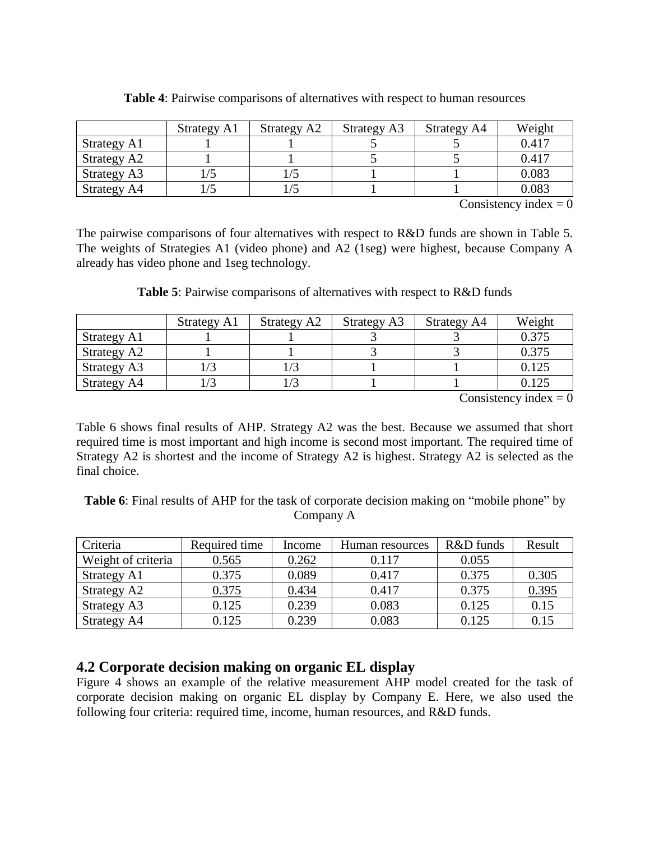|             | Strategy A1 | Strategy A2 | Strategy A3 | Strategy A4 | Weight |
|-------------|-------------|-------------|-------------|-------------|--------|
| Strategy A1 |             |             |             |             | 0.417  |
| Strategy A2 |             |             |             |             | 0.417  |
| Strategy A3 | 1/5         |             |             |             | 0.083  |
| Strategy A4 |             |             |             |             | 0.083  |

**Table 4**: Pairwise comparisons of alternatives with respect to human resources

Consistency index  $= 0$ 

The pairwise comparisons of four alternatives with respect to R&D funds are shown in Table 5. The weights of Strategies A1 (video phone) and A2 (1seg) were highest, because Company A already has video phone and 1seg technology.

|             | Strategy A1 | Strategy A2 | <b>Strategy A3</b> | <b>Strategy A4</b> | Weight |
|-------------|-------------|-------------|--------------------|--------------------|--------|
| Strategy A1 |             |             |                    |                    | 0.375  |
| Strategy A2 |             |             |                    |                    | 0.375  |
| Strategy A3 |             |             |                    |                    | 0.125  |
| Strategy A4 |             |             |                    |                    | 0.125  |

**Table 5**: Pairwise comparisons of alternatives with respect to R&D funds

Consistency index  $= 0$ 

Table 6 shows final results of AHP. Strategy A2 was the best. Because we assumed that short required time is most important and high income is second most important. The required time of Strategy A2 is shortest and the income of Strategy A2 is highest. Strategy A2 is selected as the final choice.

**Table 6**: Final results of AHP for the task of corporate decision making on "mobile phone" by Company A

| Criteria           | Required time | Income | Human resources | R&D funds | Result |
|--------------------|---------------|--------|-----------------|-----------|--------|
| Weight of criteria | 0.565         | 0.262  | 0.117           | 0.055     |        |
| Strategy A1        | 0.375         | 0.089  | 0.417           | 0.375     | 0.305  |
| Strategy A2        | 0.375         | 0.434  | 0.417           | 0.375     | 0.395  |
| Strategy A3        | 0.125         | 0.239  | 0.083           | 0.125     | 0.15   |
| <b>Strategy A4</b> | 0.125         | 0.239  | 0.083           | 0.125     | 0.15   |

#### **4.2 Corporate decision making on organic EL display**

Figure 4 shows an example of the relative measurement AHP model created for the task of corporate decision making on organic EL display by Company E. Here, we also used the following four criteria: required time, income, human resources, and R&D funds.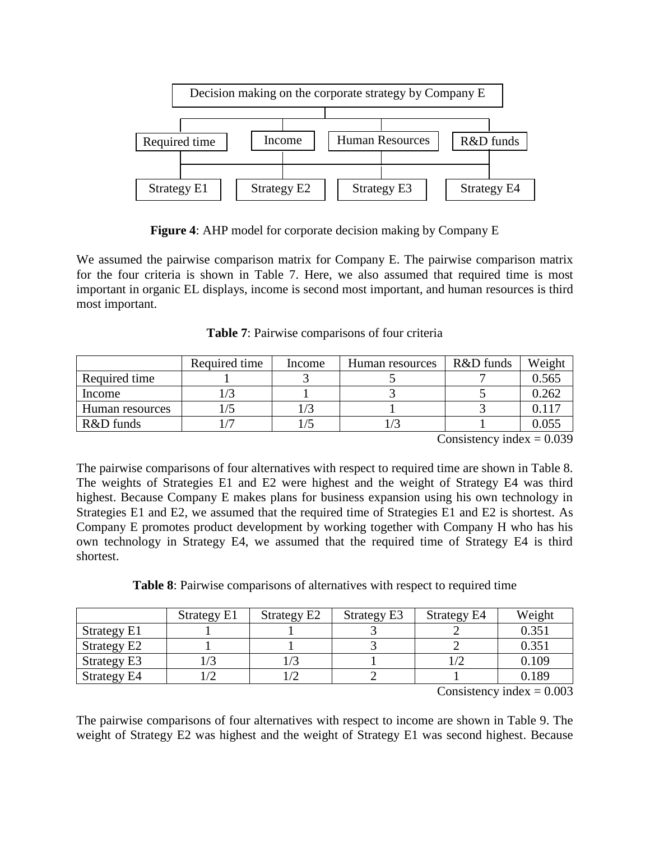

**Figure 4**: AHP model for corporate decision making by Company E

We assumed the pairwise comparison matrix for Company E. The pairwise comparison matrix for the four criteria is shown in Table 7. Here, we also assumed that required time is most important in organic EL displays, income is second most important, and human resources is third most important.

**Table 7**: Pairwise comparisons of four criteria

|                 | Required time | Income | Human resources | R&D funds | Weight |
|-----------------|---------------|--------|-----------------|-----------|--------|
| Required time   |               |        |                 |           | 0.565  |
| Income          |               |        |                 |           | 0.262  |
| Human resources |               |        |                 |           |        |
| R&D funds       |               |        |                 |           | 0.055  |

Consistency index  $= 0.039$ 

The pairwise comparisons of four alternatives with respect to required time are shown in Table 8. The weights of Strategies E1 and E2 were highest and the weight of Strategy E4 was third highest. Because Company E makes plans for business expansion using his own technology in Strategies E1 and E2, we assumed that the required time of Strategies E1 and E2 is shortest. As Company E promotes product development by working together with Company H who has his own technology in Strategy E4, we assumed that the required time of Strategy E4 is third shortest.

**Table 8**: Pairwise comparisons of alternatives with respect to required time

|             | <b>Strategy E1</b> | Strategy E2 | <b>Strategy E3</b> | Strategy E4 | Weight |
|-------------|--------------------|-------------|--------------------|-------------|--------|
| Strategy E1 |                    |             |                    |             | 0.351  |
| Strategy E2 |                    |             |                    |             | 0.351  |
| Strategy E3 |                    |             |                    |             | 0.109  |
| Strategy E4 |                    |             |                    |             | 0.189  |

Consistency index  $= 0.003$ 

The pairwise comparisons of four alternatives with respect to income are shown in Table 9. The weight of Strategy E2 was highest and the weight of Strategy E1 was second highest. Because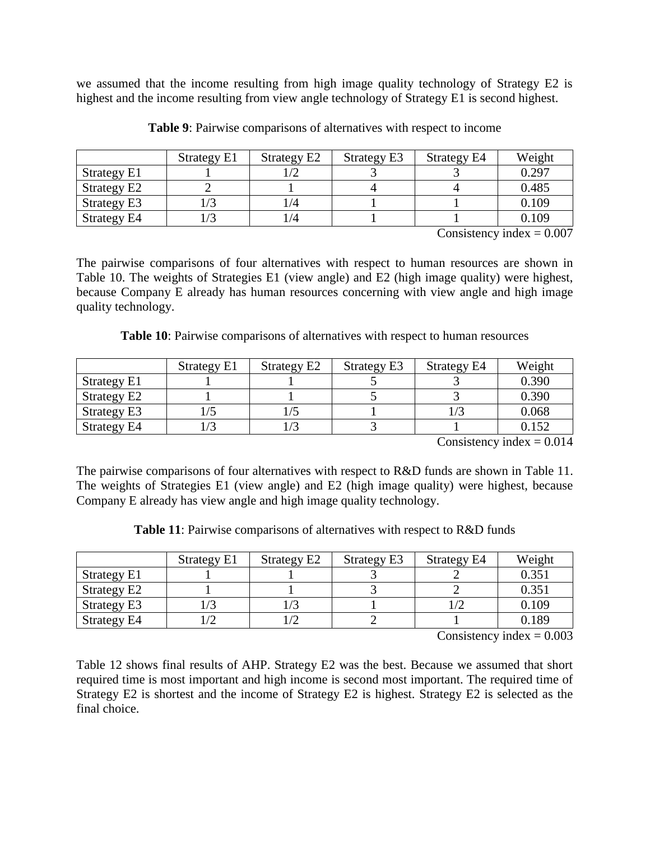we assumed that the income resulting from high image quality technology of Strategy E2 is highest and the income resulting from view angle technology of Strategy E1 is second highest.

|                    | Strategy E1 | Strategy E2 | Strategy E3 | Strategy E4 | Weight |
|--------------------|-------------|-------------|-------------|-------------|--------|
| <b>Strategy E1</b> |             |             |             |             | 0.297  |
| Strategy E2        |             |             |             |             | 0.485  |
| <b>Strategy E3</b> | /3          | ./4         |             |             | 0.109  |
| <b>Strategy E4</b> | /3          | /4          |             |             | 0.109  |

**Table 9**: Pairwise comparisons of alternatives with respect to income

Consistency index  $= 0.007$ 

The pairwise comparisons of four alternatives with respect to human resources are shown in Table 10. The weights of Strategies E1 (view angle) and E2 (high image quality) were highest, because Company E already has human resources concerning with view angle and high image quality technology.

**Table 10**: Pairwise comparisons of alternatives with respect to human resources

|                    | Strategy E1 | Strategy E2 | Strategy E3 | Strategy E4 | Weight |
|--------------------|-------------|-------------|-------------|-------------|--------|
| Strategy E1        |             |             |             |             | 0.390  |
| Strategy E2        |             |             |             |             | 0.390  |
| Strategy E3        |             |             |             |             | 0.068  |
| <b>Strategy E4</b> | /3          |             |             |             | 0.152  |

Consistency index  $= 0.014$ 

The pairwise comparisons of four alternatives with respect to R&D funds are shown in Table 11. The weights of Strategies E1 (view angle) and E2 (high image quality) were highest, because Company E already has view angle and high image quality technology.

**Table 11**: Pairwise comparisons of alternatives with respect to R&D funds

|                    | <b>Strategy E1</b> | Strategy E2 | Strategy E3 | Strategy E4 | Weight |
|--------------------|--------------------|-------------|-------------|-------------|--------|
| Strategy E1        |                    |             |             |             | 0.351  |
| Strategy E2        |                    |             |             |             | 0.351  |
| <b>Strategy E3</b> |                    |             |             |             | 0.109  |
| Strategy E4        |                    |             |             |             | 0.189  |

Consistency index  $= 0.003$ 

Table 12 shows final results of AHP. Strategy E2 was the best. Because we assumed that short required time is most important and high income is second most important. The required time of Strategy E2 is shortest and the income of Strategy E2 is highest. Strategy E2 is selected as the final choice.